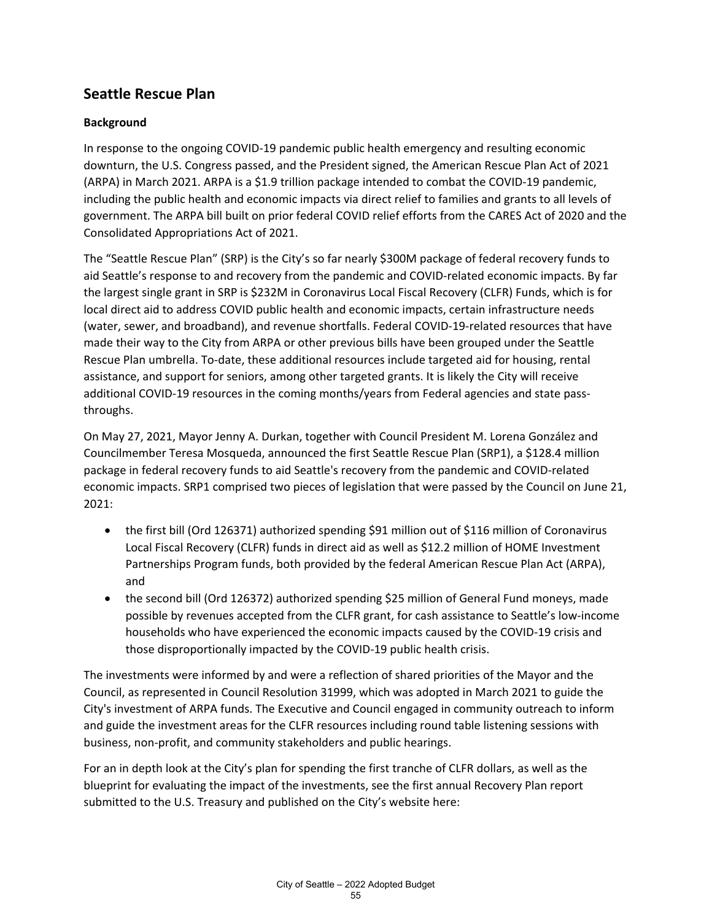# **Seattle Rescue Plan**

## **Background**

In response to the ongoing COVID-19 pandemic public health emergency and resulting economic downturn, the U.S. Congress passed, and the President signed, the American Rescue Plan Act of 2021 (ARPA) in March 2021. ARPA is a \$1.9 trillion package intended to combat the COVID-19 pandemic, including the public health and economic impacts via direct relief to families and grants to all levels of government. The ARPA bill built on prior federal COVID relief efforts from the CARES Act of 2020 and the Consolidated Appropriations Act of 2021.

The "Seattle Rescue Plan" (SRP) is the City's so far nearly \$300M package of federal recovery funds to aid Seattle's response to and recovery from the pandemic and COVID-related economic impacts. By far the largest single grant in SRP is \$232M in Coronavirus Local Fiscal Recovery (CLFR) Funds, which is for local direct aid to address COVID public health and economic impacts, certain infrastructure needs (water, sewer, and broadband), and revenue shortfalls. Federal COVID-19-related resources that have made their way to the City from ARPA or other previous bills have been grouped under the Seattle Rescue Plan umbrella. To-date, these additional resources include targeted aid for housing, rental assistance, and support for seniors, among other targeted grants. It is likely the City will receive additional COVID-19 resources in the coming months/years from Federal agencies and state passthroughs.

On May 27, 2021, Mayor Jenny A. Durkan, together with Council President M. Lorena González and Councilmember Teresa Mosqueda, announced the first Seattle Rescue Plan (SRP1), a \$128.4 million package in federal recovery funds to aid Seattle's recovery from the pandemic and COVID-related economic impacts. SRP1 comprised two pieces of legislation that were passed by the Council on June 21, 2021:

- the first bill (Ord 126371) authorized spending \$91 million out of \$116 million of Coronavirus Local Fiscal Recovery (CLFR) funds in direct aid as well as \$12.2 million of HOME Investment Partnerships Program funds, both provided by the federal American Rescue Plan Act (ARPA), and
- the second bill (Ord 126372) authorized spending \$25 million of General Fund moneys, made possible by revenues accepted from the CLFR grant, for cash assistance to Seattle's low-income households who have experienced the economic impacts caused by the COVID-19 crisis and those disproportionally impacted by the COVID-19 public health crisis.

The investments were informed by and were a reflection of shared priorities of the Mayor and the Council, as represented in Council Resolution 31999, which was adopted in March 2021 to guide the City's investment of ARPA funds. The Executive and Council engaged in community outreach to inform and guide the investment areas for the CLFR resources including round table listening sessions with business, non-profit, and community stakeholders and public hearings.

For an in depth look at the City's plan for spending the first tranche of CLFR dollars, as well as the blueprint for evaluating the impact of the investments, see the first annual Recovery Plan report submitted to the U.S. Treasury and published on the City's website here: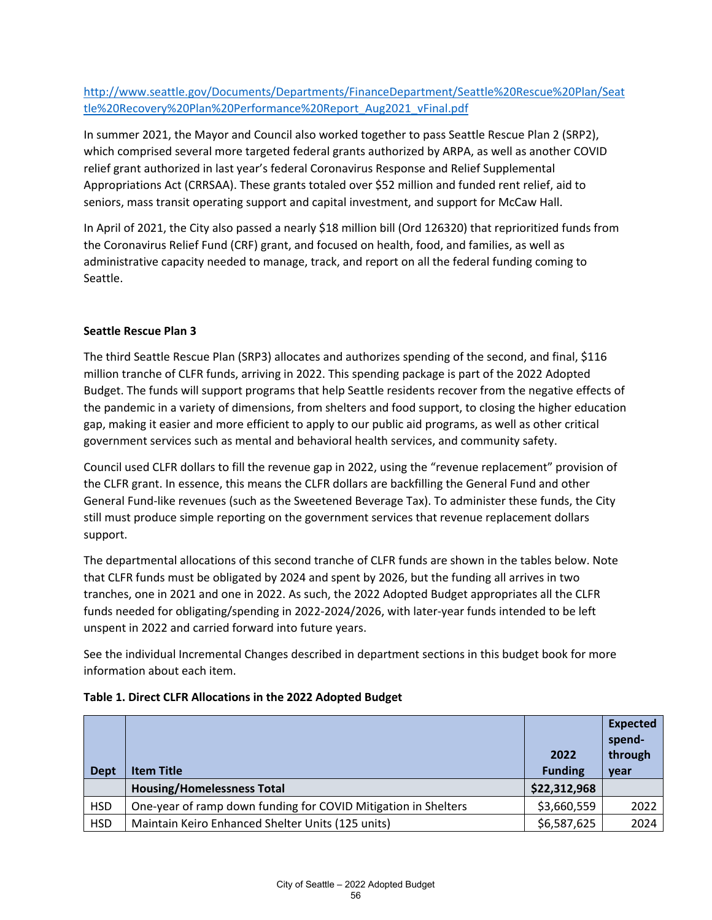## [http://www.seattle.gov/Documents/Departments/FinanceDepartment/Seattle%20Rescue%20Plan/Seat](http://www.seattle.gov/Documents/Departments/FinanceDepartment/Seattle%20Rescue%20Plan/Seattle%20Recovery%20Plan%20Performance%20Report_Aug2021_vFinal.pdf) [tle%20Recovery%20Plan%20Performance%20Report\\_Aug2021\\_vFinal.pdf](http://www.seattle.gov/Documents/Departments/FinanceDepartment/Seattle%20Rescue%20Plan/Seattle%20Recovery%20Plan%20Performance%20Report_Aug2021_vFinal.pdf)

In summer 2021, the Mayor and Council also worked together to pass Seattle Rescue Plan 2 (SRP2), which comprised several more targeted federal grants authorized by ARPA, as well as another COVID relief grant authorized in last year's federal Coronavirus Response and Relief Supplemental Appropriations Act (CRRSAA). These grants totaled over \$52 million and funded rent relief, aid to seniors, mass transit operating support and capital investment, and support for McCaw Hall.

In April of 2021, the City also passed a nearly \$18 million bill (Ord 126320) that reprioritized funds from the Coronavirus Relief Fund (CRF) grant, and focused on health, food, and families, as well as administrative capacity needed to manage, track, and report on all the federal funding coming to Seattle.

#### **Seattle Rescue Plan 3**

The third Seattle Rescue Plan (SRP3) allocates and authorizes spending of the second, and final, \$116 million tranche of CLFR funds, arriving in 2022. This spending package is part of the 2022 Adopted Budget. The funds will support programs that help Seattle residents recover from the negative effects of the pandemic in a variety of dimensions, from shelters and food support, to closing the higher education gap, making it easier and more efficient to apply to our public aid programs, as well as other critical government services such as mental and behavioral health services, and community safety.

Council used CLFR dollars to fill the revenue gap in 2022, using the "revenue replacement" provision of the CLFR grant. In essence, this means the CLFR dollars are backfilling the General Fund and other General Fund-like revenues (such as the Sweetened Beverage Tax). To administer these funds, the City still must produce simple reporting on the government services that revenue replacement dollars support.

The departmental allocations of this second tranche of CLFR funds are shown in the tables below. Note that CLFR funds must be obligated by 2024 and spent by 2026, but the funding all arrives in two tranches, one in 2021 and one in 2022. As such, the 2022 Adopted Budget appropriates all the CLFR funds needed for obligating/spending in 2022-2024/2026, with later-year funds intended to be left unspent in 2022 and carried forward into future years.

See the individual Incremental Changes described in department sections in this budget book for more information about each item.

| <b>Dept</b> | <b>Item Title</b>                                              | 2022<br><b>Funding</b> | <b>Expected</b><br>spend-<br>through<br>year |
|-------------|----------------------------------------------------------------|------------------------|----------------------------------------------|
|             | <b>Housing/Homelessness Total</b>                              | \$22,312,968           |                                              |
| <b>HSD</b>  | One-year of ramp down funding for COVID Mitigation in Shelters | \$3,660,559            | 2022                                         |
| <b>HSD</b>  | Maintain Keiro Enhanced Shelter Units (125 units)              | \$6,587,625            | 2024                                         |

#### **Table 1. Direct CLFR Allocations in the 2022 Adopted Budget**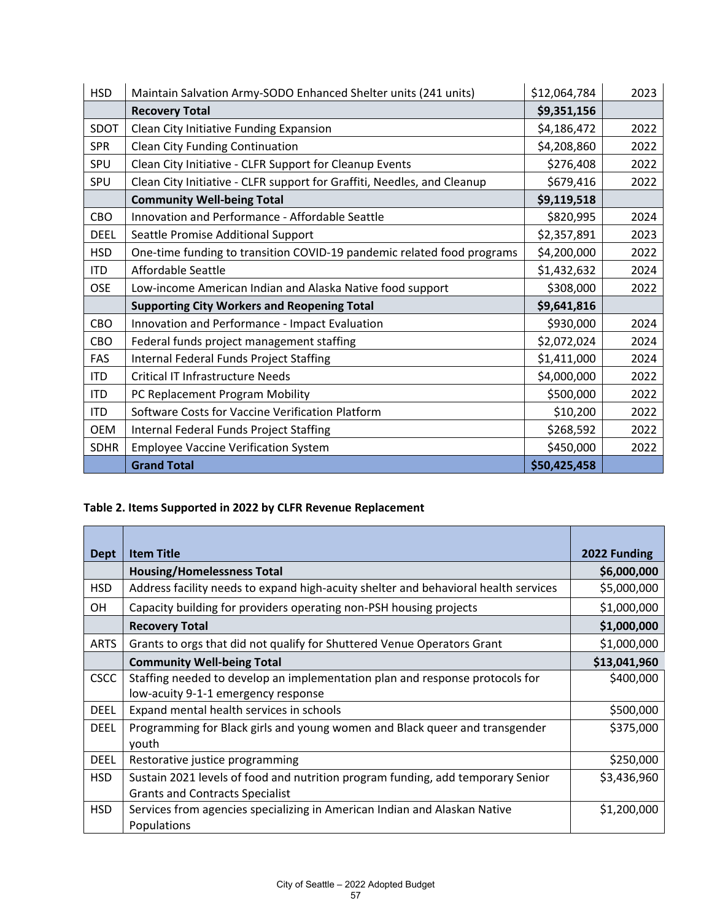| <b>HSD</b>  | Maintain Salvation Army-SODO Enhanced Shelter units (241 units)         | \$12,064,784 | 2023 |
|-------------|-------------------------------------------------------------------------|--------------|------|
|             | <b>Recovery Total</b>                                                   | \$9,351,156  |      |
| SDOT        | Clean City Initiative Funding Expansion                                 | \$4,186,472  | 2022 |
| <b>SPR</b>  | Clean City Funding Continuation                                         | \$4,208,860  | 2022 |
| SPU         | Clean City Initiative - CLFR Support for Cleanup Events                 | \$276,408    | 2022 |
| SPU         | Clean City Initiative - CLFR support for Graffiti, Needles, and Cleanup | \$679,416    | 2022 |
|             | <b>Community Well-being Total</b>                                       | \$9,119,518  |      |
| CBO         | Innovation and Performance - Affordable Seattle                         | \$820,995    | 2024 |
| <b>DEEL</b> | Seattle Promise Additional Support                                      | \$2,357,891  | 2023 |
| <b>HSD</b>  | One-time funding to transition COVID-19 pandemic related food programs  | \$4,200,000  | 2022 |
| <b>ITD</b>  | Affordable Seattle                                                      | \$1,432,632  | 2024 |
| <b>OSE</b>  | Low-income American Indian and Alaska Native food support               | \$308,000    | 2022 |
|             | <b>Supporting City Workers and Reopening Total</b>                      | \$9,641,816  |      |
| CBO         | Innovation and Performance - Impact Evaluation                          | \$930,000    | 2024 |
| CBO         | Federal funds project management staffing                               | \$2,072,024  | 2024 |
| FAS         | Internal Federal Funds Project Staffing                                 | \$1,411,000  | 2024 |
| <b>ITD</b>  | <b>Critical IT Infrastructure Needs</b>                                 | \$4,000,000  | 2022 |
| <b>ITD</b>  | PC Replacement Program Mobility                                         | \$500,000    | 2022 |
| <b>ITD</b>  | Software Costs for Vaccine Verification Platform                        | \$10,200     | 2022 |
| <b>OEM</b>  | <b>Internal Federal Funds Project Staffing</b>                          | \$268,592    | 2022 |
| <b>SDHR</b> | <b>Employee Vaccine Verification System</b>                             | \$450,000    | 2022 |
|             | <b>Grand Total</b>                                                      | \$50,425,458 |      |

## **Table 2. Items Supported in 2022 by CLFR Revenue Replacement**

| <b>Dept</b> | <b>Item Title</b>                                                                    | 2022 Funding |
|-------------|--------------------------------------------------------------------------------------|--------------|
|             | <b>Housing/Homelessness Total</b>                                                    | \$6,000,000  |
| <b>HSD</b>  | Address facility needs to expand high-acuity shelter and behavioral health services  | \$5,000,000  |
| OH.         | Capacity building for providers operating non-PSH housing projects                   | \$1,000,000  |
|             | <b>Recovery Total</b>                                                                | \$1,000,000  |
| <b>ARTS</b> | Grants to orgs that did not qualify for Shuttered Venue Operators Grant              | \$1,000,000  |
|             | <b>Community Well-being Total</b>                                                    | \$13,041,960 |
| <b>CSCC</b> | Staffing needed to develop an implementation plan and response protocols for         | \$400,000    |
|             | low-acuity 9-1-1 emergency response                                                  |              |
| <b>DEEL</b> | Expand mental health services in schools                                             | \$500,000    |
| <b>DEEL</b> | Programming for Black girls and young women and Black queer and transgender<br>youth | \$375,000    |
| <b>DEEL</b> | Restorative justice programming                                                      | \$250,000    |
| <b>HSD</b>  | Sustain 2021 levels of food and nutrition program funding, add temporary Senior      | \$3,436,960  |
|             | <b>Grants and Contracts Specialist</b>                                               |              |
| <b>HSD</b>  | Services from agencies specializing in American Indian and Alaskan Native            | \$1,200,000  |
|             | Populations                                                                          |              |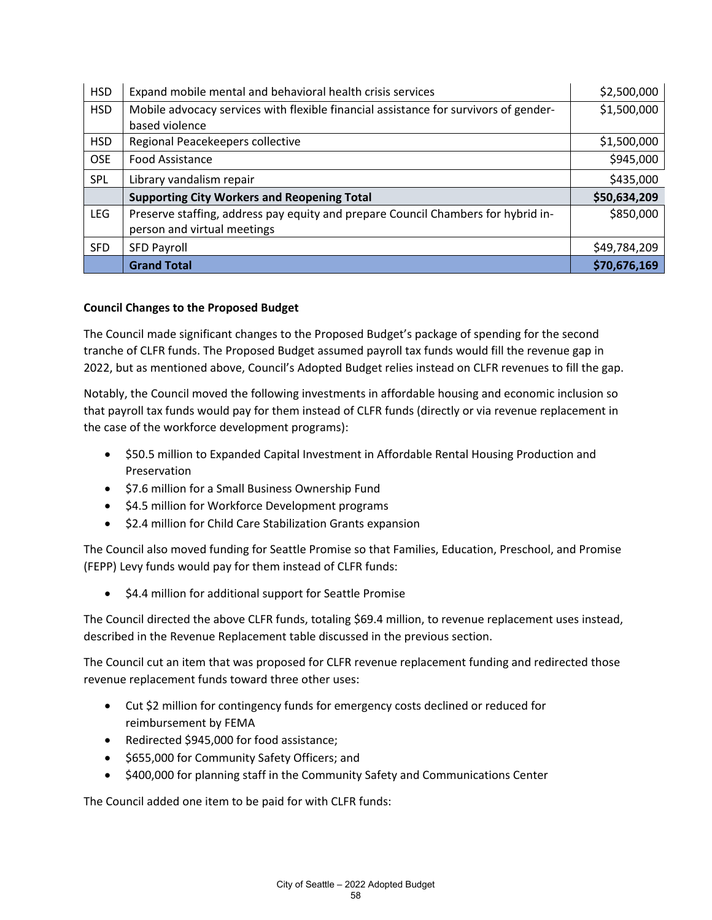| <b>HSD</b> | Expand mobile mental and behavioral health crisis services                           | \$2,500,000  |
|------------|--------------------------------------------------------------------------------------|--------------|
| <b>HSD</b> | Mobile advocacy services with flexible financial assistance for survivors of gender- | \$1,500,000  |
|            | based violence                                                                       |              |
| <b>HSD</b> | Regional Peacekeepers collective                                                     | \$1,500,000  |
| <b>OSE</b> | <b>Food Assistance</b>                                                               | \$945,000    |
| <b>SPL</b> | Library vandalism repair                                                             | \$435,000    |
|            | <b>Supporting City Workers and Reopening Total</b>                                   | \$50,634,209 |
| <b>LEG</b> | Preserve staffing, address pay equity and prepare Council Chambers for hybrid in-    | \$850,000    |
|            | person and virtual meetings                                                          |              |
| <b>SFD</b> | <b>SFD Payroll</b>                                                                   | \$49,784,209 |
|            | <b>Grand Total</b>                                                                   | \$70,676,169 |

#### **Council Changes to the Proposed Budget**

The Council made significant changes to the Proposed Budget's package of spending for the second tranche of CLFR funds. The Proposed Budget assumed payroll tax funds would fill the revenue gap in 2022, but as mentioned above, Council's Adopted Budget relies instead on CLFR revenues to fill the gap.

Notably, the Council moved the following investments in affordable housing and economic inclusion so that payroll tax funds would pay for them instead of CLFR funds (directly or via revenue replacement in the case of the workforce development programs):

- \$50.5 million to Expanded Capital Investment in Affordable Rental Housing Production and Preservation
- \$7.6 million for a Small Business Ownership Fund
- \$4.5 million for Workforce Development programs
- \$2.4 million for Child Care Stabilization Grants expansion

The Council also moved funding for Seattle Promise so that Families, Education, Preschool, and Promise (FEPP) Levy funds would pay for them instead of CLFR funds:

• \$4.4 million for additional support for Seattle Promise

The Council directed the above CLFR funds, totaling \$69.4 million, to revenue replacement uses instead, described in the Revenue Replacement table discussed in the previous section.

The Council cut an item that was proposed for CLFR revenue replacement funding and redirected those revenue replacement funds toward three other uses:

- Cut \$2 million for contingency funds for emergency costs declined or reduced for reimbursement by FEMA
- Redirected \$945,000 for food assistance;
- \$655,000 for Community Safety Officers; and
- \$400,000 for planning staff in the Community Safety and Communications Center

The Council added one item to be paid for with CLFR funds: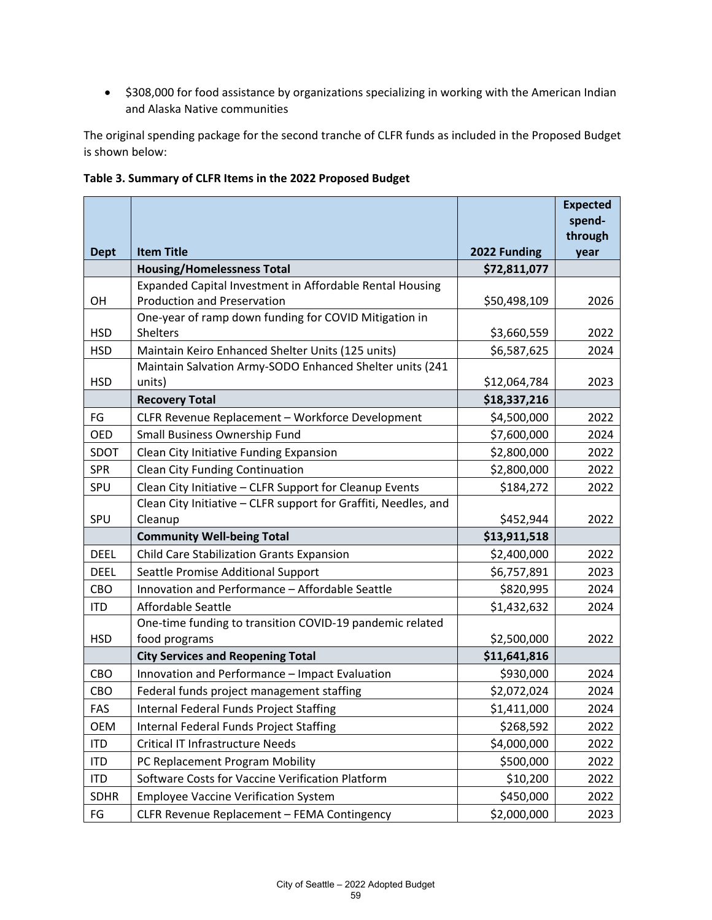• \$308,000 for food assistance by organizations specializing in working with the American Indian and Alaska Native communities

The original spending package for the second tranche of CLFR funds as included in the Proposed Budget is shown below:

| <b>Dept</b> | <b>Item Title</b>                                                                              | 2022 Funding | <b>Expected</b><br>spend-<br>through<br>year |
|-------------|------------------------------------------------------------------------------------------------|--------------|----------------------------------------------|
|             | <b>Housing/Homelessness Total</b>                                                              | \$72,811,077 |                                              |
| OH          | Expanded Capital Investment in Affordable Rental Housing<br><b>Production and Preservation</b> | \$50,498,109 | 2026                                         |
| <b>HSD</b>  | One-year of ramp down funding for COVID Mitigation in<br>Shelters                              | \$3,660,559  | 2022                                         |
| <b>HSD</b>  | Maintain Keiro Enhanced Shelter Units (125 units)                                              | \$6,587,625  | 2024                                         |
| <b>HSD</b>  | Maintain Salvation Army-SODO Enhanced Shelter units (241<br>units)                             | \$12,064,784 | 2023                                         |
|             | <b>Recovery Total</b>                                                                          | \$18,337,216 |                                              |
| FG          | CLFR Revenue Replacement - Workforce Development                                               | \$4,500,000  | 2022                                         |
| <b>OED</b>  | Small Business Ownership Fund                                                                  | \$7,600,000  | 2024                                         |
| SDOT        | Clean City Initiative Funding Expansion                                                        | \$2,800,000  | 2022                                         |
| <b>SPR</b>  | Clean City Funding Continuation                                                                | \$2,800,000  | 2022                                         |
| SPU         | Clean City Initiative - CLFR Support for Cleanup Events                                        | \$184,272    | 2022                                         |
| SPU         | Clean City Initiative - CLFR support for Graffiti, Needles, and<br>Cleanup                     | \$452,944    | 2022                                         |
|             | <b>Community Well-being Total</b>                                                              | \$13,911,518 |                                              |
| <b>DEEL</b> | Child Care Stabilization Grants Expansion                                                      | \$2,400,000  | 2022                                         |
| <b>DEEL</b> | Seattle Promise Additional Support                                                             | \$6,757,891  | 2023                                         |
| CBO         | Innovation and Performance - Affordable Seattle                                                | \$820,995    | 2024                                         |
| <b>ITD</b>  | Affordable Seattle                                                                             | \$1,432,632  | 2024                                         |
|             | One-time funding to transition COVID-19 pandemic related                                       |              |                                              |
| <b>HSD</b>  | food programs                                                                                  | \$2,500,000  | 2022                                         |
|             | <b>City Services and Reopening Total</b>                                                       | \$11,641,816 |                                              |
| CBO         | Innovation and Performance - Impact Evaluation                                                 | \$930,000    | 2024                                         |
| CBO         | Federal funds project management staffing                                                      | \$2,072,024  | 2024                                         |
| FAS         | Internal Federal Funds Project Staffing                                                        | \$1,411,000  | 2024                                         |
| <b>OEM</b>  | Internal Federal Funds Project Staffing                                                        | \$268,592    | 2022                                         |
| <b>ITD</b>  | <b>Critical IT Infrastructure Needs</b>                                                        | \$4,000,000  | 2022                                         |
| <b>ITD</b>  | PC Replacement Program Mobility                                                                | \$500,000    | 2022                                         |
| <b>ITD</b>  | Software Costs for Vaccine Verification Platform                                               | \$10,200     | 2022                                         |
| <b>SDHR</b> | <b>Employee Vaccine Verification System</b>                                                    | \$450,000    | 2022                                         |
| FG          | CLFR Revenue Replacement - FEMA Contingency                                                    | \$2,000,000  | 2023                                         |

**Table 3. Summary of CLFR Items in the 2022 Proposed Budget**